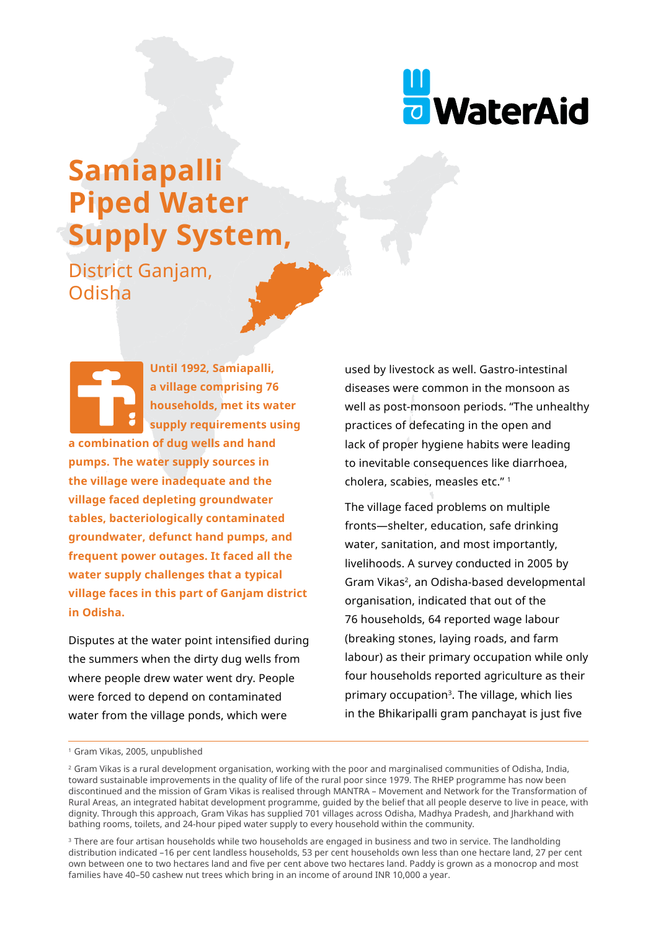

# **Samiapalli Piped Water Supply System,**

District Ganjam, Odisha

**Until 1992, Samiapalli, a village comprising 76 households, met its water supply requirements using a combination of dug wells and hand pumps. The water supply sources in the village were inadequate and the village faced depleting groundwater tables, bacteriologically contaminated groundwater, defunct hand pumps, and frequent power outages. It faced all the water supply challenges that a typical village faces in this part of Ganjam district in Odisha.**

Disputes at the water point intensified during the summers when the dirty dug wells from where people drew water went dry. People were forced to depend on contaminated water from the village ponds, which were

used by livestock as well. Gastro-intestinal diseases were common in the monsoon as well as post-monsoon periods. "The unhealthy practices of defecating in the open and lack of proper hygiene habits were leading to inevitable consequences like diarrhoea, cholera, scabies, measles etc." 1

The village faced problems on multiple fronts—shelter, education, safe drinking water, sanitation, and most importantly, livelihoods. A survey conducted in 2005 by Gram Vikas2, an Odisha-based developmental organisation, indicated that out of the 76 households, 64 reported wage labour (breaking stones, laying roads, and farm labour) as their primary occupation while only four households reported agriculture as their primary occupation<sup>3</sup>. The village, which lies in the Bhikaripalli gram panchayat is just five

<sup>&</sup>lt;sup>1</sup> Gram Vikas, 2005, unpublished

<sup>&</sup>lt;sup>2</sup> Gram Vikas is a rural development organisation, working with the poor and marginalised communities of Odisha, India, toward sustainable improvements in the quality of life of the rural poor since 1979. The RHEP programme has now been discontinued and the mission of Gram Vikas is realised through MANTRA – Movement and Network for the Transformation of Rural Areas, an integrated habitat development programme, guided by the belief that all people deserve to live in peace, with dignity. Through this approach, Gram Vikas has supplied 701 villages across Odisha, Madhya Pradesh, and Jharkhand with bathing rooms, toilets, and 24-hour piped water supply to every household within the community.

<sup>&</sup>lt;sup>3</sup> There are four artisan households while two households are engaged in business and two in service. The landholding distribution indicated –16 per cent landless households, 53 per cent households own less than one hectare land, 27 per cent own between one to two hectares land and five per cent above two hectares land. Paddy is grown as a monocrop and most families have 40–50 cashew nut trees which bring in an income of around INR 10,000 a year.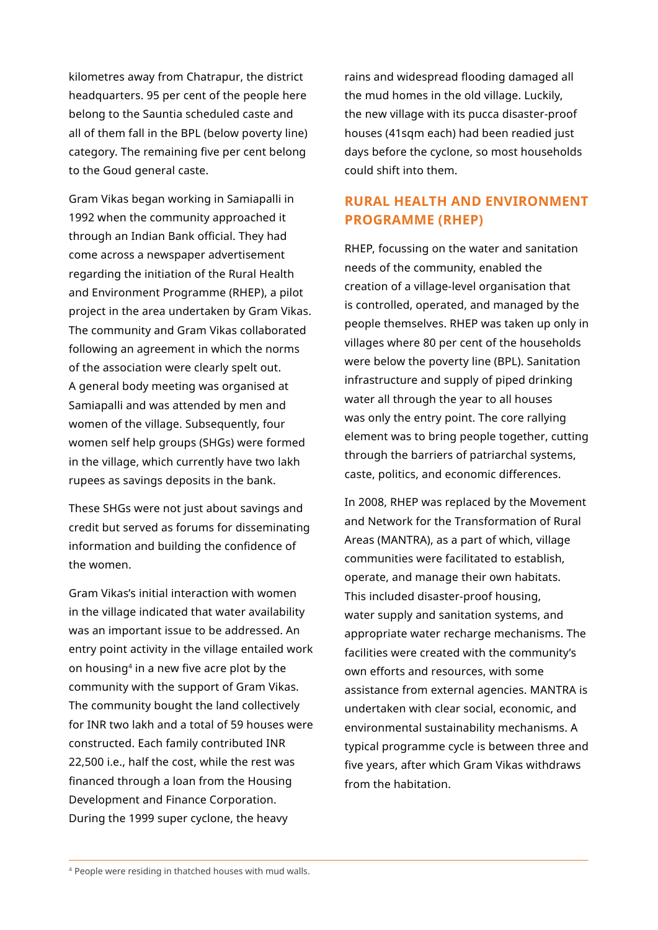kilometres away from Chatrapur, the district headquarters. 95 per cent of the people here belong to the Sauntia scheduled caste and all of them fall in the BPL (below poverty line) category. The remaining five per cent belong to the Goud general caste.

Gram Vikas began working in Samiapalli in 1992 when the community approached it through an Indian Bank official. They had come across a newspaper advertisement regarding the initiation of the Rural Health and Environment Programme (RHEP), a pilot project in the area undertaken by Gram Vikas. The community and Gram Vikas collaborated following an agreement in which the norms of the association were clearly spelt out. A general body meeting was organised at Samiapalli and was attended by men and women of the village. Subsequently, four women self help groups (SHGs) were formed in the village, which currently have two lakh rupees as savings deposits in the bank.

These SHGs were not just about savings and credit but served as forums for disseminating information and building the confidence of the women.

Gram Vikas's initial interaction with women in the village indicated that water availability was an important issue to be addressed. An entry point activity in the village entailed work on housing4 in a new five acre plot by the community with the support of Gram Vikas. The community bought the land collectively for INR two lakh and a total of 59 houses were constructed. Each family contributed INR 22,500 i.e., half the cost, while the rest was financed through a loan from the Housing Development and Finance Corporation. During the 1999 super cyclone, the heavy

rains and widespread flooding damaged all the mud homes in the old village. Luckily, the new village with its pucca disaster-proof houses (41sqm each) had been readied just days before the cyclone, so most households could shift into them.

## **RURAL HEALTH AND ENVIRONMENT PROGRAMME (RHEP)**

RHEP, focussing on the water and sanitation needs of the community, enabled the creation of a village-level organisation that is controlled, operated, and managed by the people themselves. RHEP was taken up only in villages where 80 per cent of the households were below the poverty line (BPL). Sanitation infrastructure and supply of piped drinking water all through the year to all houses was only the entry point. The core rallying element was to bring people together, cutting through the barriers of patriarchal systems, caste, politics, and economic differences.

In 2008, RHEP was replaced by the Movement and Network for the Transformation of Rural Areas (MANTRA), as a part of which, village communities were facilitated to establish, operate, and manage their own habitats. This included disaster-proof housing, water supply and sanitation systems, and appropriate water recharge mechanisms. The facilities were created with the community's own efforts and resources, with some assistance from external agencies. MANTRA is undertaken with clear social, economic, and environmental sustainability mechanisms. A typical programme cycle is between three and five years, after which Gram Vikas withdraws from the habitation.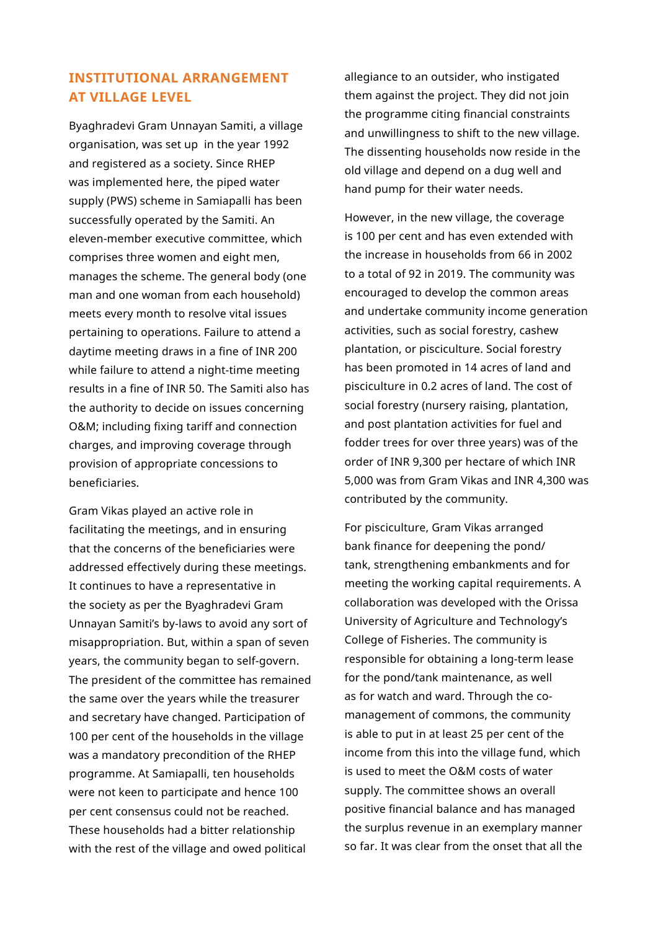# **INSTITUTIONAL ARRANGEMENT AT VILLAGE LEVEL**

Byaghradevi Gram Unnayan Samiti, a village organisation, was set up in the year 1992 and registered as a society. Since RHEP was implemented here, the piped water supply (PWS) scheme in Samiapalli has been successfully operated by the Samiti. An eleven-member executive committee, which comprises three women and eight men, manages the scheme. The general body (one man and one woman from each household) meets every month to resolve vital issues pertaining to operations. Failure to attend a daytime meeting draws in a fine of INR 200 while failure to attend a night-time meeting results in a fine of INR 50. The Samiti also has the authority to decide on issues concerning O&M; including fixing tariff and connection charges, and improving coverage through provision of appropriate concessions to beneficiaries.

Gram Vikas played an active role in facilitating the meetings, and in ensuring that the concerns of the beneficiaries were addressed effectively during these meetings. It continues to have a representative in the society as per the Byaghradevi Gram Unnayan Samiti's by-laws to avoid any sort of misappropriation. But, within a span of seven years, the community began to self-govern. The president of the committee has remained the same over the years while the treasurer and secretary have changed. Participation of 100 per cent of the households in the village was a mandatory precondition of the RHEP programme. At Samiapalli, ten households were not keen to participate and hence 100 per cent consensus could not be reached. These households had a bitter relationship with the rest of the village and owed political

allegiance to an outsider, who instigated them against the project. They did not join the programme citing financial constraints and unwillingness to shift to the new village. The dissenting households now reside in the old village and depend on a dug well and hand pump for their water needs.

However, in the new village, the coverage is 100 per cent and has even extended with the increase in households from 66 in 2002 to a total of 92 in 2019. The community was encouraged to develop the common areas and undertake community income generation activities, such as social forestry, cashew plantation, or pisciculture. Social forestry has been promoted in 14 acres of land and pisciculture in 0.2 acres of land. The cost of social forestry (nursery raising, plantation, and post plantation activities for fuel and fodder trees for over three years) was of the order of INR 9,300 per hectare of which INR 5,000 was from Gram Vikas and INR 4,300 was contributed by the community.

For pisciculture, Gram Vikas arranged bank finance for deepening the pond/ tank, strengthening embankments and for meeting the working capital requirements. A collaboration was developed with the Orissa University of Agriculture and Technology's College of Fisheries. The community is responsible for obtaining a long-term lease for the pond/tank maintenance, as well as for watch and ward. Through the comanagement of commons, the community is able to put in at least 25 per cent of the income from this into the village fund, which is used to meet the O&M costs of water supply. The committee shows an overall positive financial balance and has managed the surplus revenue in an exemplary manner so far. It was clear from the onset that all the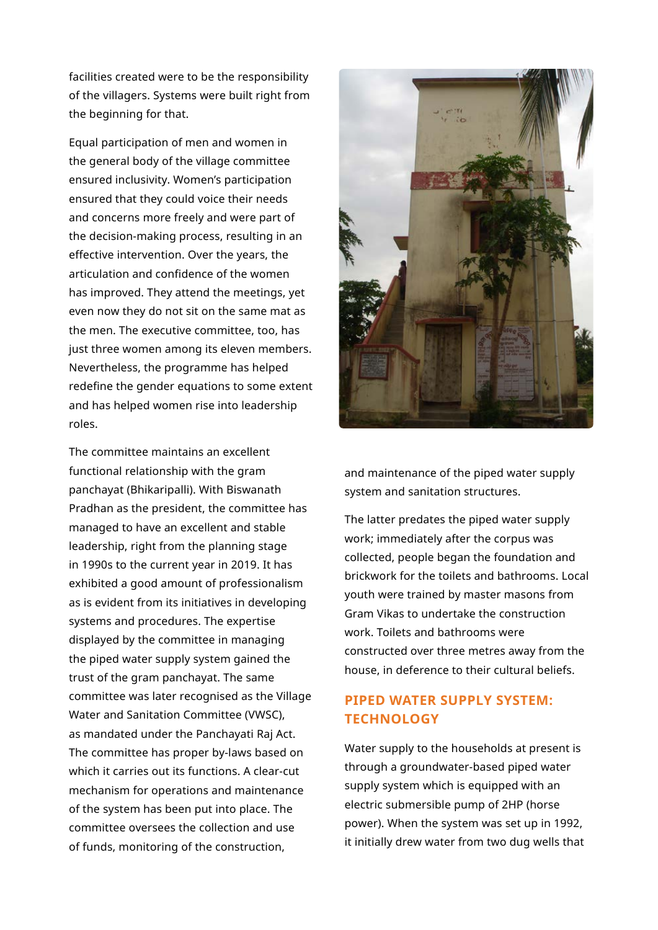facilities created were to be the responsibility of the villagers. Systems were built right from the beginning for that.

Equal participation of men and women in the general body of the village committee ensured inclusivity. Women's participation ensured that they could voice their needs and concerns more freely and were part of the decision-making process, resulting in an effective intervention. Over the years, the articulation and confidence of the women has improved. They attend the meetings, yet even now they do not sit on the same mat as the men. The executive committee, too, has just three women among its eleven members. Nevertheless, the programme has helped redefine the gender equations to some extent and has helped women rise into leadership roles.

The committee maintains an excellent functional relationship with the gram panchayat (Bhikaripalli). With Biswanath Pradhan as the president, the committee has managed to have an excellent and stable leadership, right from the planning stage in 1990s to the current year in 2019. It has exhibited a good amount of professionalism as is evident from its initiatives in developing systems and procedures. The expertise displayed by the committee in managing the piped water supply system gained the trust of the gram panchayat. The same committee was later recognised as the Village Water and Sanitation Committee (VWSC), as mandated under the Panchayati Raj Act. The committee has proper by-laws based on which it carries out its functions. A clear-cut mechanism for operations and maintenance of the system has been put into place. The committee oversees the collection and use of funds, monitoring of the construction,



and maintenance of the piped water supply system and sanitation structures.

The latter predates the piped water supply work; immediately after the corpus was collected, people began the foundation and brickwork for the toilets and bathrooms. Local youth were trained by master masons from Gram Vikas to undertake the construction work. Toilets and bathrooms were constructed over three metres away from the house, in deference to their cultural beliefs.

# **PIPED WATER SUPPLY SYSTEM: TECHNOLOGY**

Water supply to the households at present is through a groundwater-based piped water supply system which is equipped with an electric submersible pump of 2HP (horse power). When the system was set up in 1992, it initially drew water from two dug wells that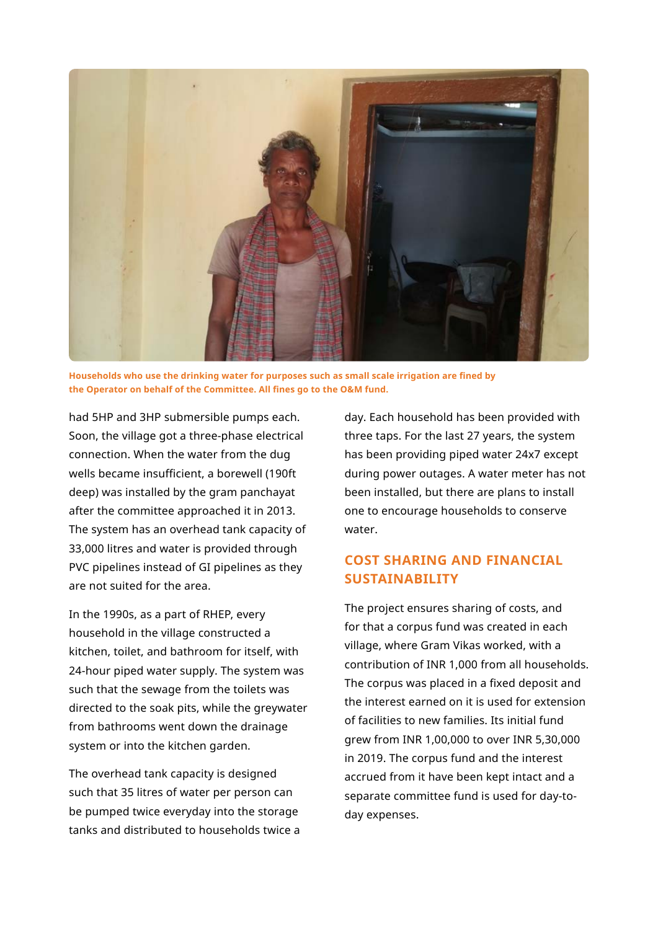

**Households who use the drinking water for purposes such as small scale irrigation are fined by the Operator on behalf of the Committee. All fines go to the O&M fund.**

had 5HP and 3HP submersible pumps each. Soon, the village got a three-phase electrical connection. When the water from the dug wells became insufficient, a borewell (190ft deep) was installed by the gram panchayat after the committee approached it in 2013. The system has an overhead tank capacity of 33,000 litres and water is provided through PVC pipelines instead of GI pipelines as they are not suited for the area.

In the 1990s, as a part of RHEP, every household in the village constructed a kitchen, toilet, and bathroom for itself, with 24-hour piped water supply. The system was such that the sewage from the toilets was directed to the soak pits, while the greywater from bathrooms went down the drainage system or into the kitchen garden.

The overhead tank capacity is designed such that 35 litres of water per person can be pumped twice everyday into the storage tanks and distributed to households twice a day. Each household has been provided with three taps. For the last 27 years, the system has been providing piped water 24x7 except during power outages. A water meter has not been installed, but there are plans to install one to encourage households to conserve water.

# **COST SHARING AND FINANCIAL SUSTAINABILITY**

The project ensures sharing of costs, and for that a corpus fund was created in each village, where Gram Vikas worked, with a contribution of INR 1,000 from all households. The corpus was placed in a fixed deposit and the interest earned on it is used for extension of facilities to new families. Its initial fund grew from INR 1,00,000 to over INR 5,30,000 in 2019. The corpus fund and the interest accrued from it have been kept intact and a separate committee fund is used for day-today expenses.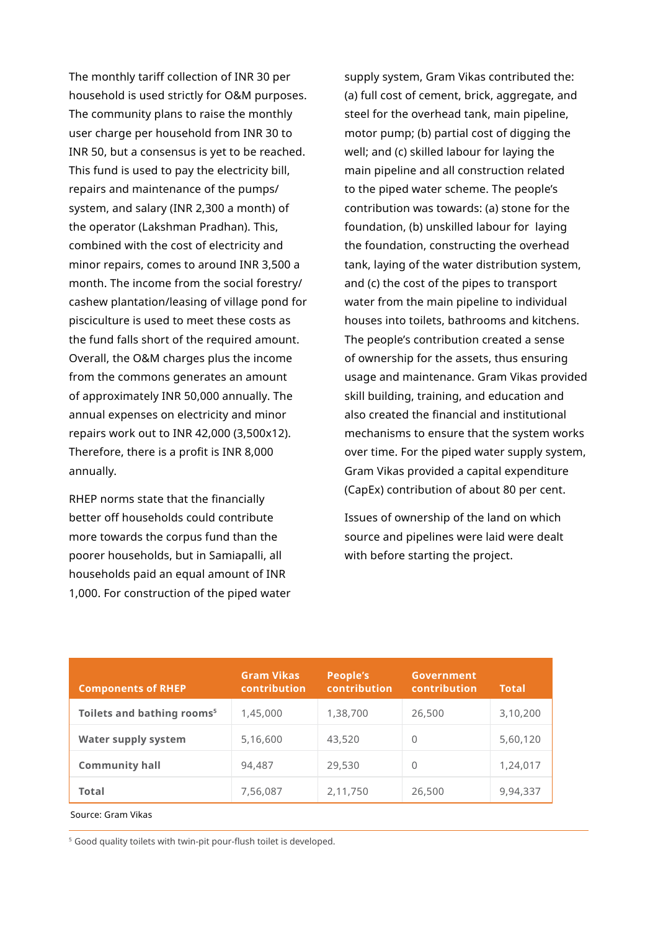The monthly tariff collection of INR 30 per household is used strictly for O&M purposes. The community plans to raise the monthly user charge per household from INR 30 to INR 50, but a consensus is yet to be reached. This fund is used to pay the electricity bill, repairs and maintenance of the pumps/ system, and salary (INR 2,300 a month) of the operator (Lakshman Pradhan). This, combined with the cost of electricity and minor repairs, comes to around INR 3,500 a month. The income from the social forestry/ cashew plantation/leasing of village pond for pisciculture is used to meet these costs as the fund falls short of the required amount. Overall, the O&M charges plus the income from the commons generates an amount of approximately INR 50,000 annually. The annual expenses on electricity and minor repairs work out to INR 42,000 (3,500x12). Therefore, there is a profit is INR 8,000 annually.

RHEP norms state that the financially better off households could contribute more towards the corpus fund than the poorer households, but in Samiapalli, all households paid an equal amount of INR 1,000. For construction of the piped water supply system, Gram Vikas contributed the: (a) full cost of cement, brick, aggregate, and steel for the overhead tank, main pipeline, motor pump; (b) partial cost of digging the well; and (c) skilled labour for laying the main pipeline and all construction related to the piped water scheme. The people's contribution was towards: (a) stone for the foundation, (b) unskilled labour for laying the foundation, constructing the overhead tank, laying of the water distribution system, and (c) the cost of the pipes to transport water from the main pipeline to individual houses into toilets, bathrooms and kitchens. The people's contribution created a sense of ownership for the assets, thus ensuring usage and maintenance. Gram Vikas provided skill building, training, and education and also created the financial and institutional mechanisms to ensure that the system works over time. For the piped water supply system, Gram Vikas provided a capital expenditure (CapEx) contribution of about 80 per cent.

Issues of ownership of the land on which source and pipelines were laid were dealt with before starting the project.

| <b>Components of RHEP</b>              | <b>Gram Vikas</b><br><b>contribution</b> | People's<br>contribution | Government<br>contribution | <b>Total</b> |
|----------------------------------------|------------------------------------------|--------------------------|----------------------------|--------------|
| Toilets and bathing rooms <sup>5</sup> | 1,45,000                                 | 1,38,700                 | 26,500                     | 3,10,200     |
| <b>Water supply system</b>             | 5,16,600                                 | 43,520                   | $\Omega$                   | 5,60,120     |
| <b>Community hall</b>                  | 94,487                                   | 29,530                   | 0                          | 1,24,017     |
| Total                                  | 7,56,087                                 | 2,11,750                 | 26,500                     | 9,94,337     |

Source: Gram Vikas

<sup>5</sup> Good quality toilets with twin-pit pour-flush toilet is developed.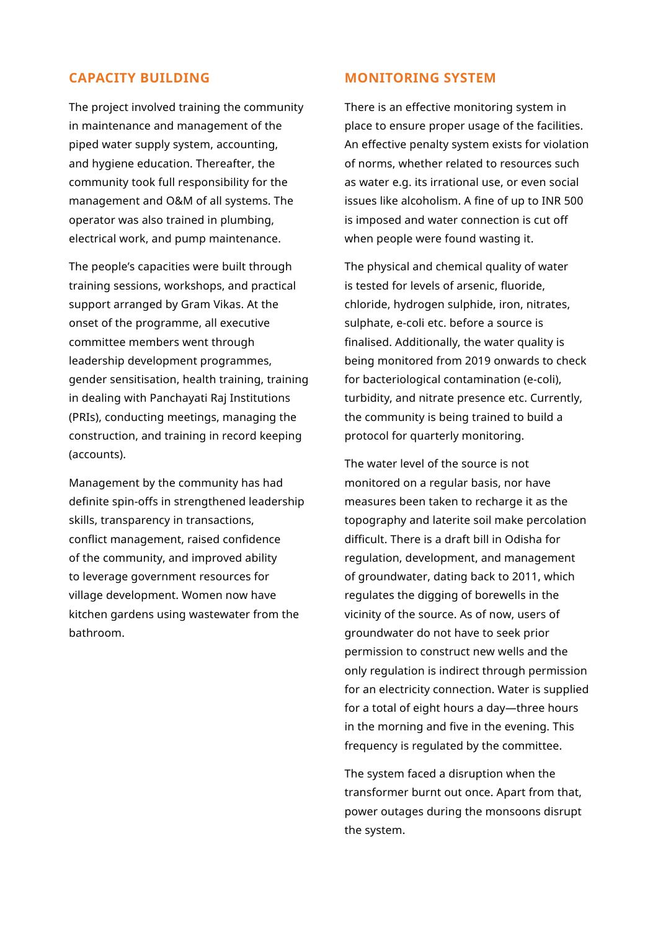### **CAPACITY BUILDING**

The project involved training the community in maintenance and management of the piped water supply system, accounting, and hygiene education. Thereafter, the community took full responsibility for the management and O&M of all systems. The operator was also trained in plumbing, electrical work, and pump maintenance.

The people's capacities were built through training sessions, workshops, and practical support arranged by Gram Vikas. At the onset of the programme, all executive committee members went through leadership development programmes, gender sensitisation, health training, training in dealing with Panchayati Raj Institutions (PRIs), conducting meetings, managing the construction, and training in record keeping (accounts).

Management by the community has had definite spin-offs in strengthened leadership skills, transparency in transactions, conflict management, raised confidence of the community, and improved ability to leverage government resources for village development. Women now have kitchen gardens using wastewater from the bathroom.

## **MONITORING SYSTEM**

There is an effective monitoring system in place to ensure proper usage of the facilities. An effective penalty system exists for violation of norms, whether related to resources such as water e.g. its irrational use, or even social issues like alcoholism. A fine of up to INR 500 is imposed and water connection is cut off when people were found wasting it.

The physical and chemical quality of water is tested for levels of arsenic, fluoride, chloride, hydrogen sulphide, iron, nitrates, sulphate, e-coli etc. before a source is finalised. Additionally, the water quality is being monitored from 2019 onwards to check for bacteriological contamination (e-coli), turbidity, and nitrate presence etc. Currently, the community is being trained to build a protocol for quarterly monitoring.

The water level of the source is not monitored on a regular basis, nor have measures been taken to recharge it as the topography and laterite soil make percolation difficult. There is a draft bill in Odisha for regulation, development, and management of groundwater, dating back to 2011, which regulates the digging of borewells in the vicinity of the source. As of now, users of groundwater do not have to seek prior permission to construct new wells and the only regulation is indirect through permission for an electricity connection. Water is supplied for a total of eight hours a day—three hours in the morning and five in the evening. This frequency is regulated by the committee.

The system faced a disruption when the transformer burnt out once. Apart from that, power outages during the monsoons disrupt the system.